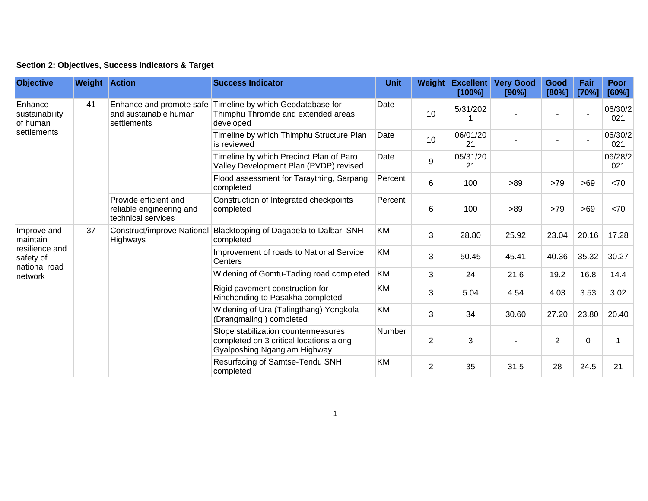| Section 2: Objectives, Success Indicators & Target |  |  |  |  |  |  |
|----------------------------------------------------|--|--|--|--|--|--|
|----------------------------------------------------|--|--|--|--|--|--|

| <b>Objective</b>                                                                   | <b>Weight Action</b> |                                                                         | <b>Success Indicator</b>                                                                                       | <b>Unit</b> | Weight         | <b>Excellent</b><br>[100%] | <b>Very Good</b><br>[90%] | Good<br>[80%]  | Fair<br>[70%] | <b>Poor</b><br>[60%] |
|------------------------------------------------------------------------------------|----------------------|-------------------------------------------------------------------------|----------------------------------------------------------------------------------------------------------------|-------------|----------------|----------------------------|---------------------------|----------------|---------------|----------------------|
| Enhance<br>sustainability<br>of human<br>settlements                               | 41                   | Enhance and promote safe<br>and sustainable human<br>settlements        | Timeline by which Geodatabase for<br>Thimphu Thromde and extended areas<br>developed                           | Date        | 10             | 5/31/202                   |                           |                |               | 06/30/2<br>021       |
|                                                                                    |                      |                                                                         | Timeline by which Thimphu Structure Plan<br>is reviewed                                                        | Date        | 10             | 06/01/20<br>21             |                           |                |               | 06/30/2<br>021       |
|                                                                                    |                      |                                                                         | Timeline by which Precinct Plan of Paro<br>Valley Development Plan (PVDP) revised                              | Date        | 9              | 05/31/20<br>21             |                           |                |               | 06/28/2<br>021       |
|                                                                                    |                      |                                                                         | Flood assessment for Taraything, Sarpang<br>completed                                                          | Percent     | 6              | 100                        | >89                       | >79            | >69           | <70                  |
|                                                                                    |                      | Provide efficient and<br>reliable engineering and<br>technical services | Construction of Integrated checkpoints<br>completed                                                            | Percent     | 6              | 100                        | >89                       | >79            | >69           | <70                  |
| Improve and<br>maintain<br>resilience and<br>safety of<br>national road<br>network | 37                   | Construct/improve National<br>Highways                                  | Blacktopping of Dagapela to Dalbari SNH<br>completed                                                           | KM          | 3              | 28.80                      | 25.92                     | 23.04          | 20.16         | 17.28                |
|                                                                                    |                      |                                                                         | Improvement of roads to National Service<br>Centers                                                            | KM          | 3              | 50.45                      | 45.41                     | 40.36          | 35.32         | 30.27                |
|                                                                                    |                      |                                                                         | Widening of Gomtu-Tading road completed                                                                        | <b>KM</b>   | 3              | 24                         | 21.6                      | 19.2           | 16.8          | 14.4                 |
|                                                                                    |                      |                                                                         | Rigid pavement construction for<br>Rinchending to Pasakha completed                                            | KM          | 3              | 5.04                       | 4.54                      | 4.03           | 3.53          | 3.02                 |
|                                                                                    |                      |                                                                         | Widening of Ura (Talingthang) Yongkola<br>(Drangmaling) completed                                              | KM          | 3              | 34                         | 30.60                     | 27.20          | 23.80         | 20.40                |
|                                                                                    |                      |                                                                         | Slope stabilization countermeasures<br>completed on 3 critical locations along<br>Gyalposhing Nganglam Highway | Number      | $\overline{2}$ | 3                          |                           | $\overline{2}$ | $\mathbf 0$   |                      |
|                                                                                    |                      |                                                                         | Resurfacing of Samtse-Tendu SNH<br>completed                                                                   | KM          | $\overline{2}$ | 35                         | 31.5                      | 28             | 24.5          | 21                   |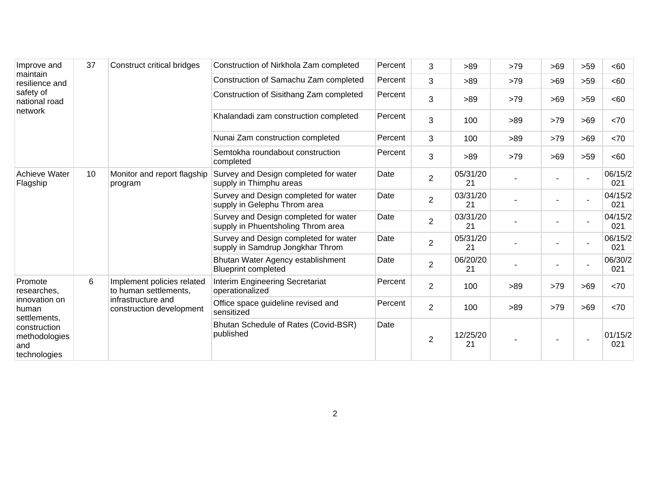| Improve and<br>maintain<br>resilience and<br>safety of<br>national road<br>network                                       | 37 | <b>Construct critical bridges</b>                                                                     | Construction of Nirkhola Zam completed                                      | Percent | 3              | >89            | >79 | $>69$ | $>59$                    | <60            |
|--------------------------------------------------------------------------------------------------------------------------|----|-------------------------------------------------------------------------------------------------------|-----------------------------------------------------------------------------|---------|----------------|----------------|-----|-------|--------------------------|----------------|
|                                                                                                                          |    |                                                                                                       | Construction of Samachu Zam completed                                       | Percent | 3              | >89            | >79 | >69   | >59                      | <60            |
|                                                                                                                          |    |                                                                                                       | Construction of Sisithang Zam completed                                     | Percent | 3              | >89            | >79 | >69   | >59                      | <60            |
|                                                                                                                          |    |                                                                                                       | Khalandadi zam construction completed                                       | Percent | $\mathbf{3}$   | 100            | >89 | >79   | >69                      | <70            |
|                                                                                                                          |    |                                                                                                       | Nunai Zam construction completed                                            | Percent | 3              | 100            | >89 | >79   | >69                      | < 70           |
|                                                                                                                          |    |                                                                                                       | Semtokha roundabout construction<br>completed                               | Percent | 3              | >89            | >79 | >69   | $>59$                    | <60            |
| <b>Achieve Water</b><br>10<br>Flagship                                                                                   |    | Monitor and report flagship<br>program                                                                | Survey and Design completed for water<br>supply in Thimphu areas            | Date    | $\overline{2}$ | 05/31/20<br>21 |     |       | $\blacksquare$           | 06/15/2<br>021 |
|                                                                                                                          |    |                                                                                                       | Survey and Design completed for water<br>supply in Gelephu Throm area       | Date    | $\overline{2}$ | 03/31/20<br>21 |     |       |                          | 04/15/2<br>021 |
|                                                                                                                          |    |                                                                                                       | Survey and Design completed for water<br>supply in Phuentsholing Throm area | Date    | $\overline{2}$ | 03/31/20<br>21 |     |       | $\overline{\phantom{a}}$ | 04/15/2<br>021 |
|                                                                                                                          |    |                                                                                                       | Survey and Design completed for water<br>supply in Samdrup Jongkhar Throm   | Date    | $\overline{2}$ | 05/31/20<br>21 |     |       | $\blacksquare$           | 06/15/2<br>021 |
|                                                                                                                          |    |                                                                                                       | Bhutan Water Agency establishment<br><b>Blueprint completed</b>             | Date    | $\overline{2}$ | 06/20/20<br>21 |     |       |                          | 06/30/2<br>021 |
| Promote<br>researches,<br>innovation on<br>human<br>settlements.<br>construction<br>methodologies<br>and<br>technologies | 6  | Implement policies related<br>to human settlements,<br>infrastructure and<br>construction development | Interim Engineering Secretariat<br>operationalized                          | Percent | $\overline{2}$ | 100            | >89 | >79   | >69                      | <70            |
|                                                                                                                          |    |                                                                                                       | Office space guideline revised and<br>sensitized                            | Percent | $\overline{2}$ | 100            | >89 | >79   | >69                      | <70            |
|                                                                                                                          |    |                                                                                                       | Bhutan Schedule of Rates (Covid-BSR)<br>published                           | Date    | $\overline{2}$ | 12/25/20<br>21 |     |       |                          | 01/15/2<br>021 |